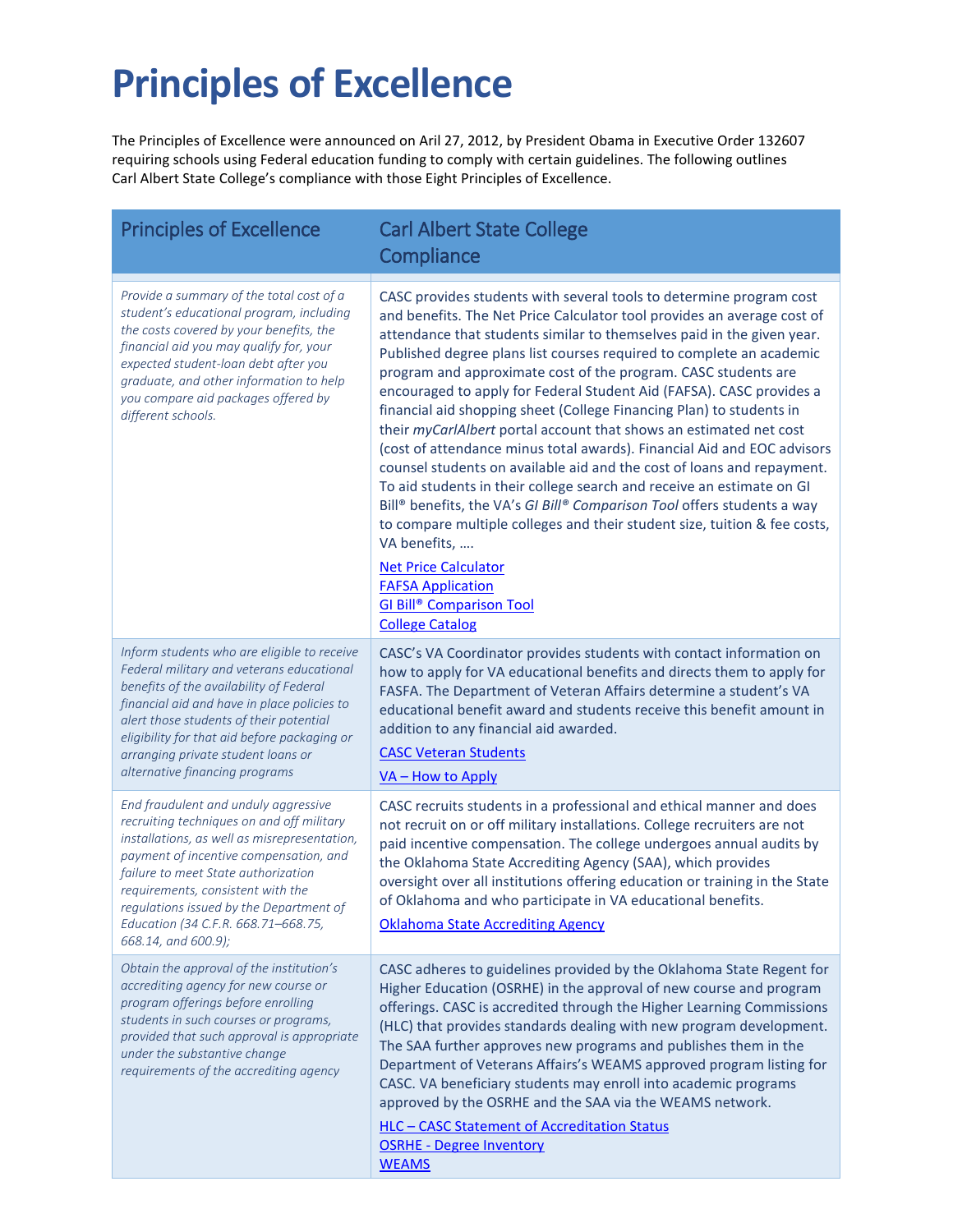## **Principles of Excellence**

The Principles of Excellence were announced on Aril 27, 2012, by President Obama in Executive Order 132607 requiring schools using Federal education funding to comply with certain guidelines. The following outlines Carl Albert State College's compliance with those Eight Principles of Excellence.

| <b>Principles of Excellence</b>                                                                                                                                                                                                                                                                                                                                  | <b>Carl Albert State College</b>                                                                                                                                                                                                                                                                                                                                                                                                                                                                                                                                                                                                                                                                                                                                                                                                                                                                                                                                                                                                                                                                                       |
|------------------------------------------------------------------------------------------------------------------------------------------------------------------------------------------------------------------------------------------------------------------------------------------------------------------------------------------------------------------|------------------------------------------------------------------------------------------------------------------------------------------------------------------------------------------------------------------------------------------------------------------------------------------------------------------------------------------------------------------------------------------------------------------------------------------------------------------------------------------------------------------------------------------------------------------------------------------------------------------------------------------------------------------------------------------------------------------------------------------------------------------------------------------------------------------------------------------------------------------------------------------------------------------------------------------------------------------------------------------------------------------------------------------------------------------------------------------------------------------------|
|                                                                                                                                                                                                                                                                                                                                                                  | Compliance                                                                                                                                                                                                                                                                                                                                                                                                                                                                                                                                                                                                                                                                                                                                                                                                                                                                                                                                                                                                                                                                                                             |
| Provide a summary of the total cost of a<br>student's educational program, including<br>the costs covered by your benefits, the<br>financial aid you may qualify for, your<br>expected student-loan debt after you<br>graduate, and other information to help<br>you compare aid packages offered by<br>different schools.                                       | CASC provides students with several tools to determine program cost<br>and benefits. The Net Price Calculator tool provides an average cost of<br>attendance that students similar to themselves paid in the given year.<br>Published degree plans list courses required to complete an academic<br>program and approximate cost of the program. CASC students are<br>encouraged to apply for Federal Student Aid (FAFSA). CASC provides a<br>financial aid shopping sheet (College Financing Plan) to students in<br>their myCarlAlbert portal account that shows an estimated net cost<br>(cost of attendance minus total awards). Financial Aid and EOC advisors<br>counsel students on available aid and the cost of loans and repayment.<br>To aid students in their college search and receive an estimate on GI<br>Bill® benefits, the VA's GI Bill® Comparison Tool offers students a way<br>to compare multiple colleges and their student size, tuition & fee costs,<br>VA benefits,<br><b>Net Price Calculator</b><br><b>FAFSA Application</b><br><b>GI Bill® Comparison Tool</b><br><b>College Catalog</b> |
| Inform students who are eligible to receive<br>Federal military and veterans educational<br>benefits of the availability of Federal<br>financial aid and have in place policies to<br>alert those students of their potential<br>eligibility for that aid before packaging or<br>arranging private student loans or<br>alternative financing programs            | CASC's VA Coordinator provides students with contact information on<br>how to apply for VA educational benefits and directs them to apply for<br>FASFA. The Department of Veteran Affairs determine a student's VA<br>educational benefit award and students receive this benefit amount in<br>addition to any financial aid awarded.<br><b>CASC Veteran Students</b><br>VA - How to Apply                                                                                                                                                                                                                                                                                                                                                                                                                                                                                                                                                                                                                                                                                                                             |
| End fraudulent and unduly aggressive<br>recruiting techniques on and off military<br>installations, as well as misrepresentation,<br>payment of incentive compensation, and<br>failure to meet State authorization<br>requirements, consistent with the<br>regulations issued by the Department of<br>Education (34 C.F.R. 668.71-668.75,<br>668.14, and 600.9); | CASC recruits students in a professional and ethical manner and does<br>not recruit on or off military installations. College recruiters are not<br>paid incentive compensation. The college undergoes annual audits by<br>the Oklahoma State Accrediting Agency (SAA), which provides<br>oversight over all institutions offering education or training in the State<br>of Oklahoma and who participate in VA educational benefits.<br><b>Oklahoma State Accrediting Agency</b>                                                                                                                                                                                                                                                                                                                                                                                                                                                                                                                                                                                                                                       |
| Obtain the approval of the institution's<br>accrediting agency for new course or<br>program offerings before enrolling<br>students in such courses or programs,<br>provided that such approval is appropriate<br>under the substantive change<br>requirements of the accrediting agency                                                                          | CASC adheres to guidelines provided by the Oklahoma State Regent for<br>Higher Education (OSRHE) in the approval of new course and program<br>offerings. CASC is accredited through the Higher Learning Commissions<br>(HLC) that provides standards dealing with new program development.<br>The SAA further approves new programs and publishes them in the<br>Department of Veterans Affairs's WEAMS approved program listing for<br>CASC. VA beneficiary students may enroll into academic programs<br>approved by the OSRHE and the SAA via the WEAMS network.<br>HLC - CASC Statement of Accreditation Status<br><b>OSRHE - Degree Inventory</b><br><b>WEAMS</b>                                                                                                                                                                                                                                                                                                                                                                                                                                                 |